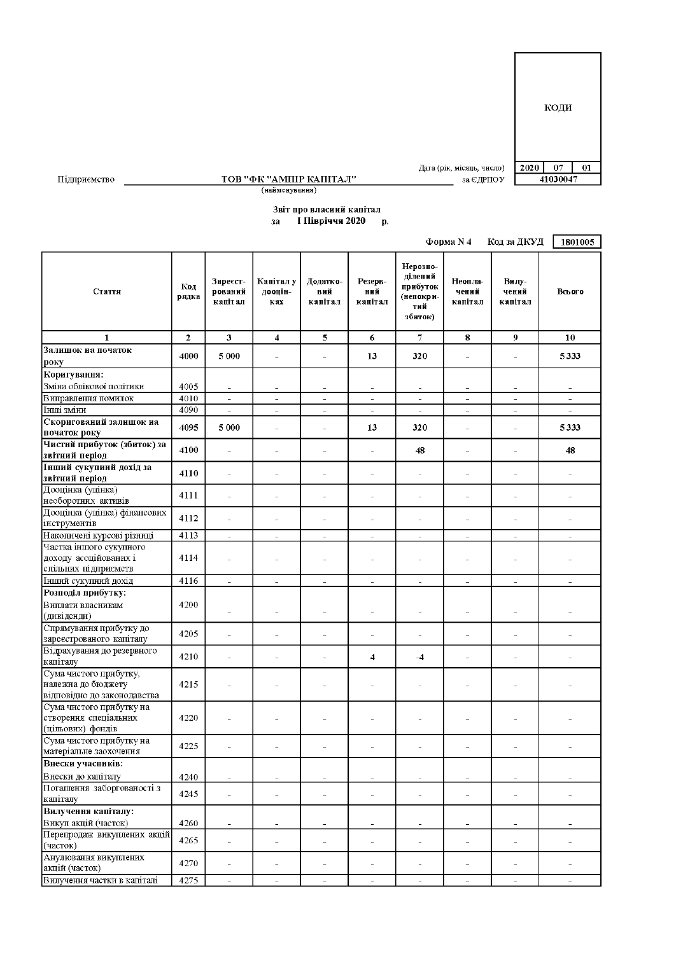$2020$  07  $\overline{01}$ 

41030047

Дата (рік, місяць, число)

 $3a \in \mathbb{Z}$ PHO Y

 $\frac{\textbf{TOB "ФK "AMIIIP KAIIITAJ"}}{\textbf{(найменування)}}$ 

## Звіт про власиий капітал за I Півріччя 2020 р.

|                                                                             |                |                                |                             |                                |                                                      |                                                                | Форма N 4                             | Код за ДКУД                                   | 1801005                        |
|-----------------------------------------------------------------------------|----------------|--------------------------------|-----------------------------|--------------------------------|------------------------------------------------------|----------------------------------------------------------------|---------------------------------------|-----------------------------------------------|--------------------------------|
| Стаття                                                                      | Код<br>рядка   | Зареєст-<br>рований<br>капітал | Капітал у<br>дооцін-<br>кaх | Додатко-<br>вий<br>капітал     | Резерв-<br>ний<br>капітал                            | Нерозпо-<br>ділений<br>прибуток<br>(непокри-<br>тий<br>збиток) | Неопла-<br>чений<br>капітал           | Вилу-<br>чений<br>капітал                     | Всього                         |
| 1                                                                           | $\overline{2}$ | 3                              | $\overline{\bf{4}}$         | 5                              | 6                                                    | $\overline{7}$                                                 | 8                                     | 9                                             | 10                             |
| Залишок на початок<br>року                                                  | 4000           | 5 000                          | $\equiv$                    | ÷,                             | 13                                                   | 320                                                            | ÷                                     | L,                                            | 5333                           |
| Коригування:                                                                |                |                                |                             |                                |                                                      |                                                                |                                       |                                               |                                |
| Зміна облікової політики                                                    | 4005           |                                |                             |                                |                                                      |                                                                |                                       |                                               | $\overline{a}$                 |
| Виправлення помилок                                                         | 4010           | $\frac{1}{2}$                  | $\equiv$                    | ÷,                             | $\sim$                                               | L,                                                             | $\bar{\phantom{a}}$                   | $\frac{1}{2}$                                 | ÷,                             |
| Інші зміни                                                                  | 4090           | $\overline{\phantom{a}}$       | $\equiv$                    | $\overline{\phantom{a}}$       | $\overline{\phantom{a}}$                             | $\equiv$                                                       | $\overline{\phantom{a}}$              | $\bar{ }$                                     | $\overline{\phantom{0}}$       |
| Скоригований залишок на<br>початок року                                     | 4095           | 5 0 0 0                        | ÷                           | L,                             | 13                                                   | 320                                                            | ÷                                     | $\overline{\phantom{a}}$                      | 5333                           |
| Чистий прибуток (збиток) за<br>звітний період                               | 4100           | $\overline{a}$                 | $\overline{a}$              | $\overline{a}$                 | $\bar{\phantom{a}}$                                  | 48                                                             | $\overline{a}$                        | L.                                            | 48                             |
| Інший сукупиий дохід за<br>звітний період                                   | 4110           | $\overline{a}$                 | L.                          | $\overline{a}$                 | $\overline{a}$                                       | L,                                                             | $\overline{a}$                        | $\overline{a}$                                | $\overline{a}$                 |
| Дооцінка (уцінка)<br>необоротних активів                                    | 4111           | $\bar{a}$                      | J.                          |                                | ä,                                                   | í.                                                             |                                       | L,                                            | ä,                             |
| Дооцінка (уцінка) фінансових<br>інструментів                                | 4112           | L,                             | i.                          | L,                             | $\overline{\phantom{a}}$                             | Ē,                                                             | L.                                    | L,                                            | L,                             |
| Накопичені курсові різниці                                                  | 4113           | $\overline{a}$                 | $\overline{\phantom{a}}$    | $\overline{a}$                 | $\sim$                                               | L,                                                             | $\overline{\phantom{a}}$              | $\overline{\phantom{a}}$                      | $\overline{a}$                 |
| Частка іншого сукупного<br>доходу асоційованих і<br>спільних підприємств    | 4114           | i.                             | ÷                           |                                | ÷                                                    | ÷                                                              |                                       |                                               |                                |
| Інший сукупний дохід                                                        | 4116           | $\equiv$                       | $\sim$                      | $\overline{\phantom{a}}$       | $\bar{ }$                                            | $\equiv$                                                       | $\overline{\phantom{a}}$              | $\overline{\phantom{a}}$                      | $\overline{\phantom{a}}$       |
| Розподіл прибутку:<br>Виплати власникам                                     | 4200           | L.                             | ÷                           |                                | L.                                                   | ÷,                                                             |                                       | $\overline{\phantom{0}}$                      |                                |
| (дивіденди)<br>Спрямування прибутку до                                      |                |                                |                             |                                |                                                      |                                                                |                                       |                                               |                                |
| зареєстрованого капіталу                                                    | 4205           | $\overline{a}$                 | L.                          |                                | $\overline{a}$                                       | $\overline{a}$                                                 |                                       | $\overline{a}$                                | L,                             |
| Відрахування до резервного<br>капіталу                                      | 4210           | $\overline{a}$                 | L.                          | $\overline{a}$                 | $\overline{\bf{4}}$                                  | $-4$                                                           | $\overline{\phantom{a}}$              | $\overline{a}$                                |                                |
| Сума чистого прибутку,<br>належна до бюджету<br>відповідно до законодавства | 4215           |                                |                             |                                |                                                      | L,                                                             |                                       |                                               |                                |
| Сума чистого прибутку на<br>створення спеціальних<br>(цільових) фондів      | 4220           |                                |                             |                                |                                                      |                                                                |                                       |                                               |                                |
| Сума чистого прибутку на<br>матеріальне заохочения                          | 4225           |                                |                             |                                |                                                      |                                                                |                                       |                                               |                                |
| Внески учасників:                                                           |                |                                |                             |                                |                                                      |                                                                |                                       |                                               |                                |
| Внески до капіталу<br>Погашення заборгованості з                            | 4240<br>4245   | $\qquad \qquad -$<br>$\bar{a}$ | $\equiv$<br>$\bar{a}$       | $\overline{\phantom{0}}$<br>÷, | $\overline{\phantom{a}}$<br>$\overline{\phantom{a}}$ | ÷,<br>÷                                                        | $\overline{\phantom{0}}$<br>$\bar{a}$ | $\qquad \qquad -$<br>$\overline{\phantom{a}}$ | $\overline{\phantom{0}}$<br>÷. |
| капіталу<br>Вилучення капіталу:                                             |                |                                |                             |                                |                                                      |                                                                |                                       |                                               |                                |
| Викуп акцій (часток)                                                        | 4260           | L,                             | $\overline{a}$              | $\overline{\phantom{a}}$       | $\overline{\phantom{a}}$                             | Ĭ.                                                             |                                       | $\overline{\phantom{a}}$                      | $\overline{\phantom{a}}$       |
| Перепродаж викуплених акцій<br>(часток)                                     | 4265           | $\frac{1}{2}$                  | $\equiv$                    | $\overline{\phantom{0}}$       | $\overline{a}$                                       | $\overline{a}$                                                 | $\overline{a}$                        | $\overline{a}$                                | $\overline{a}$                 |
| Анулювання викуплених<br>акцій (часток)                                     | 4270           | $\overline{a}$                 | $\overline{\phantom{0}}$    | $\overline{a}$                 | $\overline{a}$                                       | L,                                                             | $\overline{a}$                        | $\overline{\phantom{m}}$                      | $\overline{a}$                 |
| Вилучення частки в капіталі                                                 | 4275           | $\equiv$                       | $\equiv$                    | $\equiv$                       | $\overline{\phantom{a}}$                             | ÷,                                                             | $\bar{\phantom{a}}$                   | $\sim$                                        | $\overline{a}$                 |

Підприємство